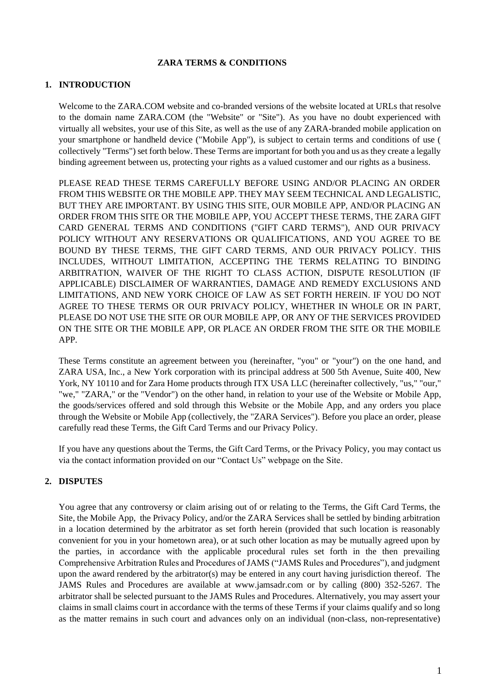#### **ZARA TERMS & CONDITIONS**

# **1. INTRODUCTION**

Welcome to the ZARA.COM website and co-branded versions of the website located at URLs that resolve to the domain name ZARA.COM (the "Website" or "Site"). As you have no doubt experienced with virtually all websites, your use of this Site, as well as the use of any ZARA-branded mobile application on your smartphone or handheld device ("Mobile App"), is subject to certain terms and conditions of use ( collectively "Terms") set forth below. These Terms are important for both you and us as they create a legally binding agreement between us, protecting your rights as a valued customer and our rights as a business.

PLEASE READ THESE TERMS CAREFULLY BEFORE USING AND/OR PLACING AN ORDER FROM THIS WEBSITE OR THE MOBILE APP. THEY MAY SEEM TECHNICAL AND LEGALISTIC, BUT THEY ARE IMPORTANT. BY USING THIS SITE, OUR MOBILE APP, AND/OR PLACING AN ORDER FROM THIS SITE OR THE MOBILE APP, YOU ACCEPT THESE TERMS, THE ZARA GIFT CARD GENERAL TERMS AND CONDITIONS ("GIFT CARD TERMS"), AND OUR PRIVACY POLICY WITHOUT ANY RESERVATIONS OR QUALIFICATIONS, AND YOU AGREE TO BE BOUND BY THESE TERMS, THE GIFT CARD TERMS, AND OUR PRIVACY POLICY. THIS INCLUDES, WITHOUT LIMITATION, ACCEPTING THE TERMS RELATING TO BINDING ARBITRATION, WAIVER OF THE RIGHT TO CLASS ACTION, DISPUTE RESOLUTION (IF APPLICABLE) DISCLAIMER OF WARRANTIES, DAMAGE AND REMEDY EXCLUSIONS AND LIMITATIONS, AND NEW YORK CHOICE OF LAW AS SET FORTH HEREIN. IF YOU DO NOT AGREE TO THESE TERMS OR OUR PRIVACY POLICY, WHETHER IN WHOLE OR IN PART, PLEASE DO NOT USE THE SITE OR OUR MOBILE APP, OR ANY OF THE SERVICES PROVIDED ON THE SITE OR THE MOBILE APP, OR PLACE AN ORDER FROM THE SITE OR THE MOBILE APP.

These Terms constitute an agreement between you (hereinafter, "you" or "your") on the one hand, and ZARA USA, Inc., a New York corporation with its principal address at 500 5th Avenue, Suite 400, New York, NY 10110 and for Zara Home products through ITX USA LLC (hereinafter collectively, "us," "our," "we," "ZARA," or the "Vendor") on the other hand, in relation to your use of the Website or Mobile App, the goods/services offered and sold through this Website or the Mobile App, and any orders you place through the Website or Mobile App (collectively, the "ZARA Services"). Before you place an order, please carefully read these Terms, the Gift Card Terms and our Privacy Policy.

If you have any questions about the Terms, the Gift Card Terms, or the Privacy Policy, you may contact us via the contact information provided on our "Contact Us" webpage on the Site.

# **2. DISPUTES**

You agree that any controversy or claim arising out of or relating to the Terms, the Gift Card Terms, the Site, the Mobile App, the Privacy Policy, and/or the ZARA Services shall be settled by binding arbitration in a location determined by the arbitrator as set forth herein (provided that such location is reasonably convenient for you in your hometown area), or at such other location as may be mutually agreed upon by the parties, in accordance with the applicable procedural rules set forth in the then prevailing Comprehensive Arbitration Rules and Procedures of JAMS ("JAMS Rules and Procedures"), and judgment upon the award rendered by the arbitrator(s) may be entered in any court having jurisdiction thereof. The JAMS Rules and Procedures are available at www.jamsadr.com or by calling (800) 352-5267. The arbitrator shall be selected pursuant to the JAMS Rules and Procedures. Alternatively, you may assert your claims in small claims court in accordance with the terms of these Terms if your claims qualify and so long as the matter remains in such court and advances only on an individual (non-class, non-representative)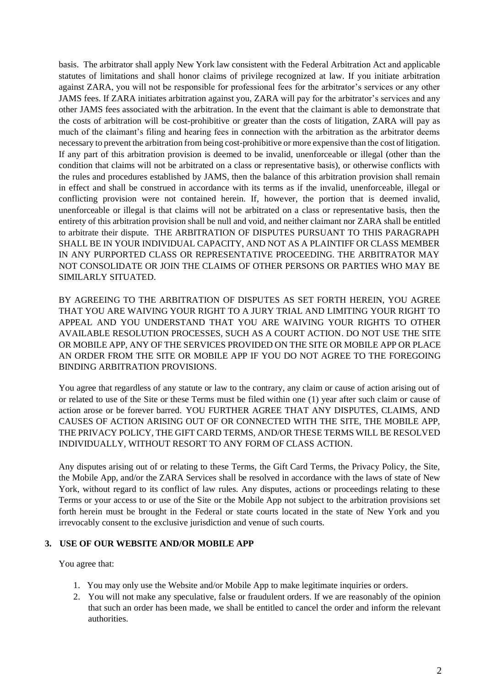basis. The arbitrator shall apply New York law consistent with the Federal Arbitration Act and applicable statutes of limitations and shall honor claims of privilege recognized at law. If you initiate arbitration against ZARA, you will not be responsible for professional fees for the arbitrator's services or any other JAMS fees. If ZARA initiates arbitration against you, ZARA will pay for the arbitrator's services and any other JAMS fees associated with the arbitration. In the event that the claimant is able to demonstrate that the costs of arbitration will be cost-prohibitive or greater than the costs of litigation, ZARA will pay as much of the claimant's filing and hearing fees in connection with the arbitration as the arbitrator deems necessary to prevent the arbitration from being cost-prohibitive or more expensive than the cost of litigation. If any part of this arbitration provision is deemed to be invalid, unenforceable or illegal (other than the condition that claims will not be arbitrated on a class or representative basis), or otherwise conflicts with the rules and procedures established by JAMS, then the balance of this arbitration provision shall remain in effect and shall be construed in accordance with its terms as if the invalid, unenforceable, illegal or conflicting provision were not contained herein. If, however, the portion that is deemed invalid, unenforceable or illegal is that claims will not be arbitrated on a class or representative basis, then the entirety of this arbitration provision shall be null and void, and neither claimant nor ZARA shall be entitled to arbitrate their dispute. THE ARBITRATION OF DISPUTES PURSUANT TO THIS PARAGRAPH SHALL BE IN YOUR INDIVIDUAL CAPACITY, AND NOT AS A PLAINTIFF OR CLASS MEMBER IN ANY PURPORTED CLASS OR REPRESENTATIVE PROCEEDING. THE ARBITRATOR MAY NOT CONSOLIDATE OR JOIN THE CLAIMS OF OTHER PERSONS OR PARTIES WHO MAY BE SIMILARLY SITUATED.

BY AGREEING TO THE ARBITRATION OF DISPUTES AS SET FORTH HEREIN, YOU AGREE THAT YOU ARE WAIVING YOUR RIGHT TO A JURY TRIAL AND LIMITING YOUR RIGHT TO APPEAL AND YOU UNDERSTAND THAT YOU ARE WAIVING YOUR RIGHTS TO OTHER AVAILABLE RESOLUTION PROCESSES, SUCH AS A COURT ACTION. DO NOT USE THE SITE OR MOBILE APP, ANY OF THE SERVICES PROVIDED ON THE SITE OR MOBILE APP OR PLACE AN ORDER FROM THE SITE OR MOBILE APP IF YOU DO NOT AGREE TO THE FOREGOING BINDING ARBITRATION PROVISIONS.

You agree that regardless of any statute or law to the contrary, any claim or cause of action arising out of or related to use of the Site or these Terms must be filed within one (1) year after such claim or cause of action arose or be forever barred. YOU FURTHER AGREE THAT ANY DISPUTES, CLAIMS, AND CAUSES OF ACTION ARISING OUT OF OR CONNECTED WITH THE SITE, THE MOBILE APP, THE PRIVACY POLICY, THE GIFT CARD TERMS, AND/OR THESE TERMS WILL BE RESOLVED INDIVIDUALLY, WITHOUT RESORT TO ANY FORM OF CLASS ACTION.

Any disputes arising out of or relating to these Terms, the Gift Card Terms, the Privacy Policy, the Site, the Mobile App, and/or the ZARA Services shall be resolved in accordance with the laws of state of New York, without regard to its conflict of law rules. Any disputes, actions or proceedings relating to these Terms or your access to or use of the Site or the Mobile App not subject to the arbitration provisions set forth herein must be brought in the Federal or state courts located in the state of New York and you irrevocably consent to the exclusive jurisdiction and venue of such courts.

## **3. USE OF OUR WEBSITE AND/OR MOBILE APP**

You agree that:

- 1. You may only use the Website and/or Mobile App to make legitimate inquiries or orders.
- 2. You will not make any speculative, false or fraudulent orders. If we are reasonably of the opinion that such an order has been made, we shall be entitled to cancel the order and inform the relevant authorities.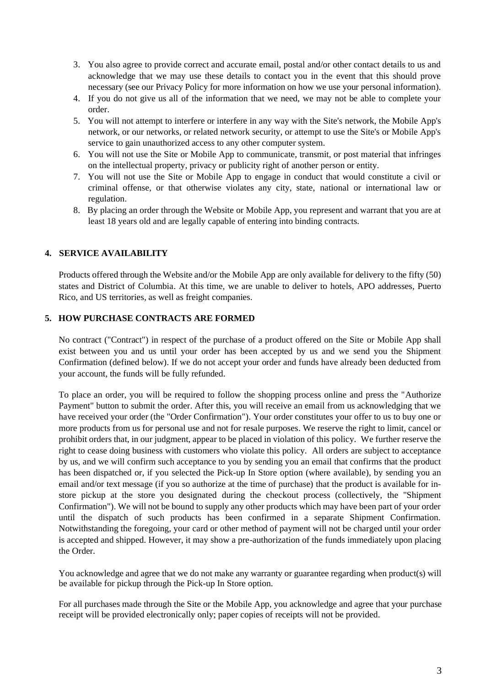- 3. You also agree to provide correct and accurate email, postal and/or other contact details to us and acknowledge that we may use these details to contact you in the event that this should prove necessary (see our Privacy Policy for more information on how we use your personal information).
- 4. If you do not give us all of the information that we need, we may not be able to complete your order.
- 5. You will not attempt to interfere or interfere in any way with the Site's network, the Mobile App's network, or our networks, or related network security, or attempt to use the Site's or Mobile App's service to gain unauthorized access to any other computer system.
- 6. You will not use the Site or Mobile App to communicate, transmit, or post material that infringes on the intellectual property, privacy or publicity right of another person or entity.
- 7. You will not use the Site or Mobile App to engage in conduct that would constitute a civil or criminal offense, or that otherwise violates any city, state, national or international law or regulation.
- 8. By placing an order through the Website or Mobile App, you represent and warrant that you are at least 18 years old and are legally capable of entering into binding contracts.

# **4. SERVICE AVAILABILITY**

Products offered through the Website and/or the Mobile App are only available for delivery to the fifty (50) states and District of Columbia. At this time, we are unable to deliver to hotels, APO addresses, Puerto Rico, and US territories, as well as freight companies.

## **5. HOW PURCHASE CONTRACTS ARE FORMED**

No contract ("Contract") in respect of the purchase of a product offered on the Site or Mobile App shall exist between you and us until your order has been accepted by us and we send you the Shipment Confirmation (defined below). If we do not accept your order and funds have already been deducted from your account, the funds will be fully refunded.

To place an order, you will be required to follow the shopping process online and press the "Authorize Payment" button to submit the order. After this, you will receive an email from us acknowledging that we have received your order (the "Order Confirmation"). Your order constitutes your offer to us to buy one or more products from us for personal use and not for resale purposes. We reserve the right to limit, cancel or prohibit orders that, in our judgment, appear to be placed in violation of this policy. We further reserve the right to cease doing business with customers who violate this policy. All orders are subject to acceptance by us, and we will confirm such acceptance to you by sending you an email that confirms that the product has been dispatched or, if you selected the Pick-up In Store option (where available), by sending you an email and/or text message (if you so authorize at the time of purchase) that the product is available for instore pickup at the store you designated during the checkout process (collectively, the "Shipment Confirmation"). We will not be bound to supply any other products which may have been part of your order until the dispatch of such products has been confirmed in a separate Shipment Confirmation. Notwithstanding the foregoing, your card or other method of payment will not be charged until your order is accepted and shipped. However, it may show a pre-authorization of the funds immediately upon placing the Order.

You acknowledge and agree that we do not make any warranty or guarantee regarding when product(s) will be available for pickup through the Pick-up In Store option.

For all purchases made through the Site or the Mobile App, you acknowledge and agree that your purchase receipt will be provided electronically only; paper copies of receipts will not be provided.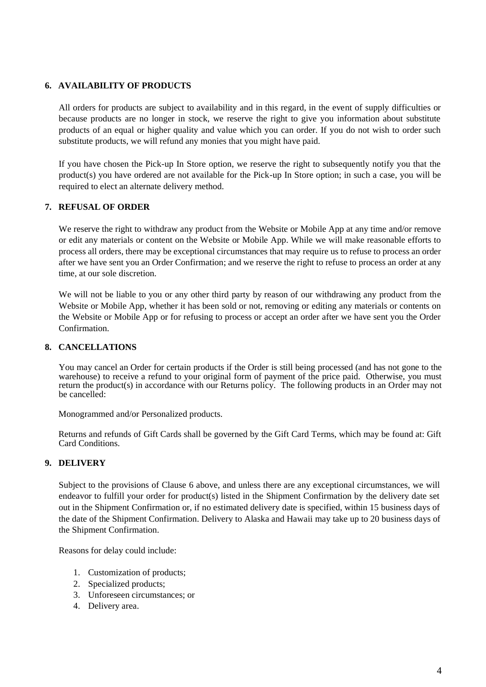## **6. AVAILABILITY OF PRODUCTS**

All orders for products are subject to availability and in this regard, in the event of supply difficulties or because products are no longer in stock, we reserve the right to give you information about substitute products of an equal or higher quality and value which you can order. If you do not wish to order such substitute products, we will refund any monies that you might have paid.

If you have chosen the Pick-up In Store option, we reserve the right to subsequently notify you that the product(s) you have ordered are not available for the Pick-up In Store option; in such a case, you will be required to elect an alternate delivery method.

## **7. REFUSAL OF ORDER**

We reserve the right to withdraw any product from the Website or Mobile App at any time and/or remove or edit any materials or content on the Website or Mobile App. While we will make reasonable efforts to process all orders, there may be exceptional circumstances that may require us to refuse to process an order after we have sent you an Order Confirmation; and we reserve the right to refuse to process an order at any time, at our sole discretion.

We will not be liable to you or any other third party by reason of our withdrawing any product from the Website or Mobile App, whether it has been sold or not, removing or editing any materials or contents on the Website or Mobile App or for refusing to process or accept an order after we have sent you the Order Confirmation.

#### **8. CANCELLATIONS**

You may cancel an Order for certain products if the Order is still being processed (and has not gone to the warehouse) to receive a refund to your original form of payment of the price paid. Otherwise, you must return the product(s) in accordance with our Returns policy. The following products in an Order may not be cancelled:

Monogrammed and/or Personalized products.

Returns and refunds of Gift Cards shall be governed by the Gift Card Terms, which may be found at: Gift Card Conditions.

# **9. DELIVERY**

Subject to the provisions of Clause 6 above, and unless there are any exceptional circumstances, we will endeavor to fulfill your order for product(s) listed in the Shipment Confirmation by the delivery date set out in the Shipment Confirmation or, if no estimated delivery date is specified, within 15 business days of the date of the Shipment Confirmation. Delivery to Alaska and Hawaii may take up to 20 business days of the Shipment Confirmation.

Reasons for delay could include:

- 1. Customization of products;
- 2. Specialized products;
- 3. Unforeseen circumstances; or
- 4. Delivery area.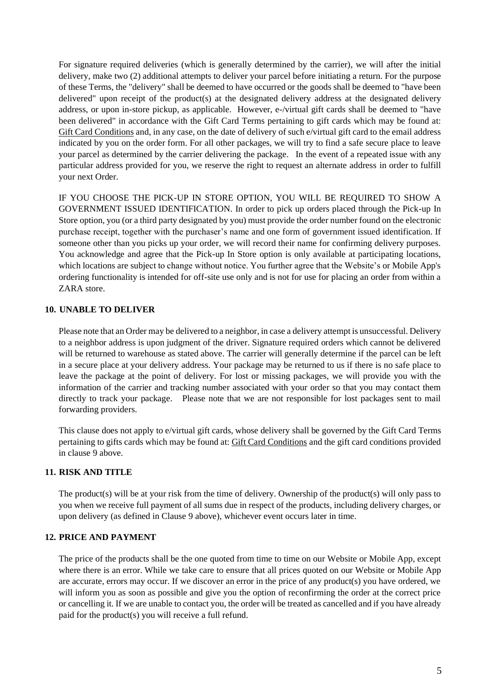For signature required deliveries (which is generally determined by the carrier), we will after the initial delivery, make two (2) additional attempts to deliver your parcel before initiating a return. For the purpose of these Terms, the "delivery" shall be deemed to have occurred or the goods shall be deemed to "have been delivered" upon receipt of the product(s) at the designated delivery address at the designated delivery address, or upon in-store pickup, as applicable. However, e-/virtual gift cards shall be deemed to "have been delivered" in accordance with the Gift Card Terms pertaining to gift cards which may be found at: Gift Card Conditions and, in any case, on the date of delivery of such e/virtual gift card to the email address indicated by you on the order form. For all other packages, we will try to find a safe secure place to leave your parcel as determined by the carrier delivering the package. In the event of a repeated issue with any particular address provided for you, we reserve the right to request an alternate address in order to fulfill your next Order.

IF YOU CHOOSE THE PICK-UP IN STORE OPTION, YOU WILL BE REQUIRED TO SHOW A GOVERNMENT ISSUED IDENTIFICATION. In order to pick up orders placed through the Pick-up In Store option, you (or a third party designated by you) must provide the order number found on the electronic purchase receipt, together with the purchaser's name and one form of government issued identification. If someone other than you picks up your order, we will record their name for confirming delivery purposes. You acknowledge and agree that the Pick-up In Store option is only available at participating locations, which locations are subject to change without notice. You further agree that the Website's or Mobile App's ordering functionality is intended for off-site use only and is not for use for placing an order from within a ZARA store.

# **10. UNABLE TO DELIVER**

Please note that an Order may be delivered to a neighbor, in case a delivery attempt is unsuccessful. Delivery to a neighbor address is upon judgment of the driver. Signature required orders which cannot be delivered will be returned to warehouse as stated above. The carrier will generally determine if the parcel can be left in a secure place at your delivery address. Your package may be returned to us if there is no safe place to leave the package at the point of delivery. For lost or missing packages, we will provide you with the information of the carrier and tracking number associated with your order so that you may contact them directly to track your package. Please note that we are not responsible for lost packages sent to mail forwarding providers.

This clause does not apply to e/virtual gift cards, whose delivery shall be governed by the Gift Card Terms pertaining to gifts cards which may be found at: Gift Card Conditions and the gift card conditions provided in clause 9 above.

# **11. RISK AND TITLE**

The product(s) will be at your risk from the time of delivery. Ownership of the product(s) will only pass to you when we receive full payment of all sums due in respect of the products, including delivery charges, or upon delivery (as defined in Clause 9 above), whichever event occurs later in time.

# **12. PRICE AND PAYMENT**

The price of the products shall be the one quoted from time to time on our Website or Mobile App, except where there is an error. While we take care to ensure that all prices quoted on our Website or Mobile App are accurate, errors may occur. If we discover an error in the price of any product(s) you have ordered, we will inform you as soon as possible and give you the option of reconfirming the order at the correct price or cancelling it. If we are unable to contact you, the order will be treated as cancelled and if you have already paid for the product(s) you will receive a full refund.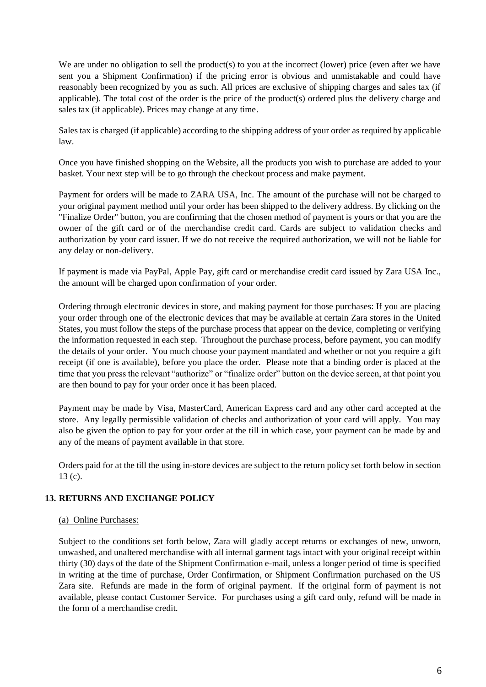We are under no obligation to sell the product(s) to you at the incorrect (lower) price (even after we have sent you a Shipment Confirmation) if the pricing error is obvious and unmistakable and could have reasonably been recognized by you as such. All prices are exclusive of shipping charges and sales tax (if applicable). The total cost of the order is the price of the product(s) ordered plus the delivery charge and sales tax (if applicable). Prices may change at any time.

Sales tax is charged (if applicable) according to the shipping address of your order as required by applicable law.

Once you have finished shopping on the Website, all the products you wish to purchase are added to your basket. Your next step will be to go through the checkout process and make payment.

Payment for orders will be made to ZARA USA, Inc. The amount of the purchase will not be charged to your original payment method until your order has been shipped to the delivery address. By clicking on the "Finalize Order" button, you are confirming that the chosen method of payment is yours or that you are the owner of the gift card or of the merchandise credit card. Cards are subject to validation checks and authorization by your card issuer. If we do not receive the required authorization, we will not be liable for any delay or non-delivery.

If payment is made via PayPal, Apple Pay, gift card or merchandise credit card issued by Zara USA Inc., the amount will be charged upon confirmation of your order.

Ordering through electronic devices in store, and making payment for those purchases: If you are placing your order through one of the electronic devices that may be available at certain Zara stores in the United States, you must follow the steps of the purchase process that appear on the device, completing or verifying the information requested in each step. Throughout the purchase process, before payment, you can modify the details of your order. You much choose your payment mandated and whether or not you require a gift receipt (if one is available), before you place the order. Please note that a binding order is placed at the time that you press the relevant "authorize" or "finalize order" button on the device screen, at that point you are then bound to pay for your order once it has been placed.

Payment may be made by Visa, MasterCard, American Express card and any other card accepted at the store. Any legally permissible validation of checks and authorization of your card will apply. You may also be given the option to pay for your order at the till in which case, your payment can be made by and any of the means of payment available in that store.

Orders paid for at the till the using in-store devices are subject to the return policy set forth below in section 13 (c).

# **13. RETURNS AND EXCHANGE POLICY**

#### (a) Online Purchases:

Subject to the conditions set forth below, Zara will gladly accept returns or exchanges of new, unworn, unwashed, and unaltered merchandise with all internal garment tags intact with your original receipt within thirty (30) days of the date of the Shipment Confirmation e-mail, unless a longer period of time is specified in writing at the time of purchase, Order Confirmation, or Shipment Confirmation purchased on the US Zara site. Refunds are made in the form of original payment. If the original form of payment is not available, please contact Customer Service. For purchases using a gift card only, refund will be made in the form of a merchandise credit.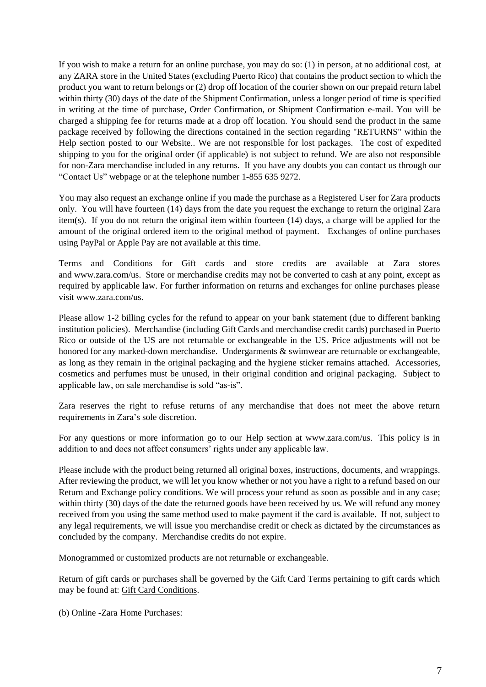If you wish to make a return for an online purchase, you may do so: (1) in person, at no additional cost, at any ZARA store in the United States (excluding Puerto Rico) that contains the product section to which the product you want to return belongs or (2) drop off location of the courier shown on our prepaid return label within thirty (30) days of the date of the Shipment Confirmation, unless a longer period of time is specified in writing at the time of purchase, Order Confirmation, or Shipment Confirmation e-mail. You will be charged a shipping fee for returns made at a drop off location. You should send the product in the same package received by following the directions contained in the section regarding "RETURNS" within the Help section posted to our Website.. We are not responsible for lost packages. The cost of expedited shipping to you for the original order (if applicable) is not subject to refund. We are also not responsible for non-Zara merchandise included in any returns. If you have any doubts you can contact us through our "Contact Us" webpage or at the telephone number 1-855 635 9272.

You may also request an exchange online if you made the purchase as a Registered User for Zara products only. You will have fourteen (14) days from the date you request the exchange to return the original Zara item(s). If you do not return the original item within fourteen (14) days, a charge will be applied for the amount of the original ordered item to the original method of payment. Exchanges of online purchases using PayPal or Apple Pay are not available at this time.

Terms and Conditions for Gift cards and store credits are available at Zara stores and [www.zara.com/us.](http://www.zara.com/us) Store or merchandise credits may not be converted to cash at any point, except as required by applicable law. For further information on returns and exchanges for online purchases please visit [www.zara.com/us.](http://www.zara.com/us)

Please allow 1-2 billing cycles for the refund to appear on your bank statement (due to different banking institution policies). Merchandise (including Gift Cards and merchandise credit cards) purchased in Puerto Rico or outside of the US are not returnable or exchangeable in the US. Price adjustments will not be honored for any marked-down merchandise. Undergarments & swimwear are returnable or exchangeable, as long as they remain in the original packaging and the hygiene sticker remains attached. Accessories, cosmetics and perfumes must be unused, in their original condition and original packaging. Subject to applicable law, on sale merchandise is sold "as-is".

Zara reserves the right to refuse returns of any merchandise that does not meet the above return requirements in Zara's sole discretion.

For any questions or more information go to our Help section at [www.zara.com/us.](http://www.zara.com/us) This policy is in addition to and does not affect consumers' rights under any applicable law.

Please include with the product being returned all original boxes, instructions, documents, and wrappings. After reviewing the product, we will let you know whether or not you have a right to a refund based on our Return and Exchange policy conditions. We will process your refund as soon as possible and in any case; within thirty (30) days of the date the returned goods have been received by us. We will refund any money received from you using the same method used to make payment if the card is available. If not, subject to any legal requirements, we will issue you merchandise credit or check as dictated by the circumstances as concluded by the company. Merchandise credits do not expire.

Monogrammed or customized products are not returnable or exchangeable.

Return of gift cards or purchases shall be governed by the Gift Card Terms pertaining to gift cards which may be found at: [Gift Card Conditions.](http://static.zara.net/static/terms_conditions/gift_card/10701/20120927/giftCard_UseConditions_10701_-1.htm)

(b) Online -Zara Home Purchases: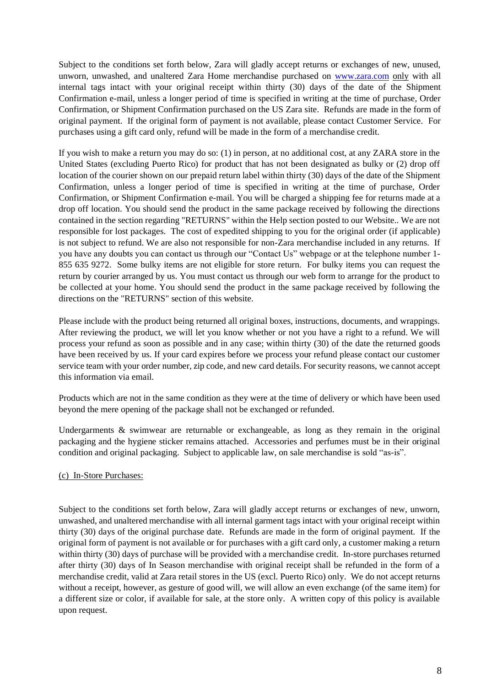Subject to the conditions set forth below, Zara will gladly accept returns or exchanges of new, unused, unworn, unwashed, and unaltered Zara Home merchandise purchased on [www.zara.com](http://www.zara.com/) only with all internal tags intact with your original receipt within thirty (30) days of the date of the Shipment Confirmation e-mail, unless a longer period of time is specified in writing at the time of purchase, Order Confirmation, or Shipment Confirmation purchased on the US Zara site. Refunds are made in the form of original payment. If the original form of payment is not available, please contact Customer Service. For purchases using a gift card only, refund will be made in the form of a merchandise credit.

If you wish to make a return you may do so: (1) in person, at no additional cost, at any ZARA store in the United States (excluding Puerto Rico) for product that has not been designated as bulky or (2) drop off location of the courier shown on our prepaid return label within thirty (30) days of the date of the Shipment Confirmation, unless a longer period of time is specified in writing at the time of purchase, Order Confirmation, or Shipment Confirmation e-mail. You will be charged a shipping fee for returns made at a drop off location. You should send the product in the same package received by following the directions contained in the section regarding "RETURNS" within the Help section posted to our Website.. We are not responsible for lost packages. The cost of expedited shipping to you for the original order (if applicable) is not subject to refund. We are also not responsible for non-Zara merchandise included in any returns. If you have any doubts you can contact us through our "Contact Us" webpage or at the telephone number 1- 855 635 9272. Some bulky items are not eligible for store return. For bulky items you can request the return by courier arranged by us. You must contact us through our web form to arrange for the product to be collected at your home. You should send the product in the same package received by following the directions on the "RETURNS" section of this website.

Please include with the product being returned all original boxes, instructions, documents, and wrappings. After reviewing the product, we will let you know whether or not you have a right to a refund. We will process your refund as soon as possible and in any case; within thirty (30) of the date the returned goods have been received by us. If your card expires before we process your refund please contact our customer service team with your order number, zip code, and new card details. For security reasons, we cannot accept this information via email.

Products which are not in the same condition as they were at the time of delivery or which have been used beyond the mere opening of the package shall not be exchanged or refunded.

Undergarments & swimwear are returnable or exchangeable, as long as they remain in the original packaging and the hygiene sticker remains attached. Accessories and perfumes must be in their original condition and original packaging. Subject to applicable law, on sale merchandise is sold "as-is".

# (c) In-Store Purchases:

Subject to the conditions set forth below, Zara will gladly accept returns or exchanges of new, unworn, unwashed, and unaltered merchandise with all internal garment tags intact with your original receipt within thirty (30) days of the original purchase date. Refunds are made in the form of original payment. If the original form of payment is not available or for purchases with a gift card only, a customer making a return within thirty (30) days of purchase will be provided with a merchandise credit. In-store purchases returned after thirty (30) days of In Season merchandise with original receipt shall be refunded in the form of a merchandise credit, valid at Zara retail stores in the US (excl. Puerto Rico) only. We do not accept returns without a receipt, however, as gesture of good will, we will allow an even exchange (of the same item) for a different size or color, if available for sale, at the store only. A written copy of this policy is available upon request.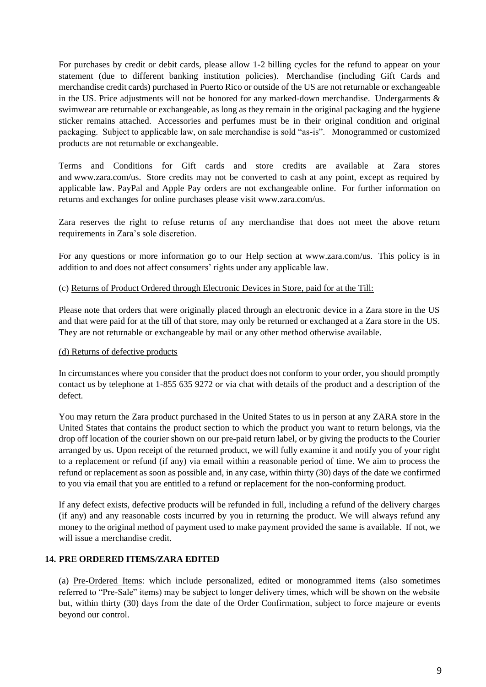For purchases by credit or debit cards, please allow 1-2 billing cycles for the refund to appear on your statement (due to different banking institution policies). Merchandise (including Gift Cards and merchandise credit cards) purchased in Puerto Rico or outside of the US are not returnable or exchangeable in the US. Price adjustments will not be honored for any marked-down merchandise. Undergarments & swimwear are returnable or exchangeable, as long as they remain in the original packaging and the hygiene sticker remains attached. Accessories and perfumes must be in their original condition and original packaging. Subject to applicable law, on sale merchandise is sold "as-is". Monogrammed or customized products are not returnable or exchangeable.

Terms and Conditions for Gift cards and store credits are available at Zara stores and [www.zara.com/us.](http://www.zara.com/us) Store credits may not be converted to cash at any point, except as required by applicable law. PayPal and Apple Pay orders are not exchangeable online. For further information on returns and exchanges for online purchases please visit [www.zara.com/us.](http://www.zara.com/us)

Zara reserves the right to refuse returns of any merchandise that does not meet the above return requirements in Zara's sole discretion.

For any questions or more information go to our Help section at [www.zara.com/us.](http://www.zara.com/us) This policy is in addition to and does not affect consumers' rights under any applicable law.

## (c) Returns of Product Ordered through Electronic Devices in Store, paid for at the Till:

Please note that orders that were originally placed through an electronic device in a Zara store in the US and that were paid for at the till of that store, may only be returned or exchanged at a Zara store in the US. They are not returnable or exchangeable by mail or any other method otherwise available.

# (d) Returns of defective products

In circumstances where you consider that the product does not conform to your order, you should promptly contact us by telephone at 1-855 635 9272 or via chat with details of the product and a description of the defect.

You may return the Zara product purchased in the United States to us in person at any ZARA store in the United States that contains the product section to which the product you want to return belongs, via the drop off location of the courier shown on our pre-paid return label, or by giving the products to the Courier arranged by us. Upon receipt of the returned product, we will fully examine it and notify you of your right to a replacement or refund (if any) via email within a reasonable period of time. We aim to process the refund or replacement as soon as possible and, in any case, within thirty (30) days of the date we confirmed to you via email that you are entitled to a refund or replacement for the non-conforming product.

If any defect exists, defective products will be refunded in full, including a refund of the delivery charges (if any) and any reasonable costs incurred by you in returning the product. We will always refund any money to the original method of payment used to make payment provided the same is available. If not, we will issue a merchandise credit.

# **14. PRE ORDERED ITEMS/ZARA EDITED**

(a) Pre-Ordered Items: which include personalized, edited or monogrammed items (also sometimes referred to "Pre-Sale" items) may be subject to longer delivery times, which will be shown on the website but, within thirty (30) days from the date of the Order Confirmation, subject to force majeure or events beyond our control.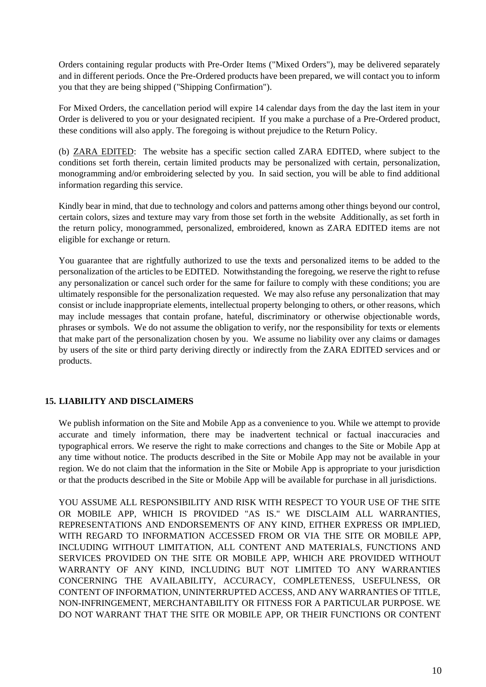Orders containing regular products with Pre-Order Items ("Mixed Orders"), may be delivered separately and in different periods. Once the Pre-Ordered products have been prepared, we will contact you to inform you that they are being shipped ("Shipping Confirmation").

For Mixed Orders, the cancellation period will expire 14 calendar days from the day the last item in your Order is delivered to you or your designated recipient. If you make a purchase of a Pre-Ordered product, these conditions will also apply. The foregoing is without prejudice to the Return Policy.

(b) ZARA EDITED: The website has a specific section called ZARA EDITED, where subject to the conditions set forth therein, certain limited products may be personalized with certain, personalization, monogramming and/or embroidering selected by you. In said section, you will be able to find additional information regarding this service.

Kindly bear in mind, that due to technology and colors and patterns among other things beyond our control, certain colors, sizes and texture may vary from those set forth in the website Additionally, as set forth in the return policy, monogrammed, personalized, embroidered, known as ZARA EDITED items are not eligible for exchange or return.

You guarantee that are rightfully authorized to use the texts and personalized items to be added to the personalization of the articles to be EDITED. Notwithstanding the foregoing, we reserve the right to refuse any personalization or cancel such order for the same for failure to comply with these conditions; you are ultimately responsible for the personalization requested. We may also refuse any personalization that may consist or include inappropriate elements, intellectual property belonging to others, or other reasons, which may include messages that contain profane, hateful, discriminatory or otherwise objectionable words, phrases or symbols. We do not assume the obligation to verify, nor the responsibility for texts or elements that make part of the personalization chosen by you. We assume no liability over any claims or damages by users of the site or third party deriving directly or indirectly from the ZARA EDITED services and or products.

# **15. LIABILITY AND DISCLAIMERS**

We publish information on the Site and Mobile App as a convenience to you. While we attempt to provide accurate and timely information, there may be inadvertent technical or factual inaccuracies and typographical errors. We reserve the right to make corrections and changes to the Site or Mobile App at any time without notice. The products described in the Site or Mobile App may not be available in your region. We do not claim that the information in the Site or Mobile App is appropriate to your jurisdiction or that the products described in the Site or Mobile App will be available for purchase in all jurisdictions.

YOU ASSUME ALL RESPONSIBILITY AND RISK WITH RESPECT TO YOUR USE OF THE SITE OR MOBILE APP, WHICH IS PROVIDED "AS IS." WE DISCLAIM ALL WARRANTIES, REPRESENTATIONS AND ENDORSEMENTS OF ANY KIND, EITHER EXPRESS OR IMPLIED, WITH REGARD TO INFORMATION ACCESSED FROM OR VIA THE SITE OR MOBILE APP, INCLUDING WITHOUT LIMITATION, ALL CONTENT AND MATERIALS, FUNCTIONS AND SERVICES PROVIDED ON THE SITE OR MOBILE APP, WHICH ARE PROVIDED WITHOUT WARRANTY OF ANY KIND, INCLUDING BUT NOT LIMITED TO ANY WARRANTIES CONCERNING THE AVAILABILITY, ACCURACY, COMPLETENESS, USEFULNESS, OR CONTENT OF INFORMATION, UNINTERRUPTED ACCESS, AND ANY WARRANTIES OF TITLE, NON-INFRINGEMENT, MERCHANTABILITY OR FITNESS FOR A PARTICULAR PURPOSE. WE DO NOT WARRANT THAT THE SITE OR MOBILE APP, OR THEIR FUNCTIONS OR CONTENT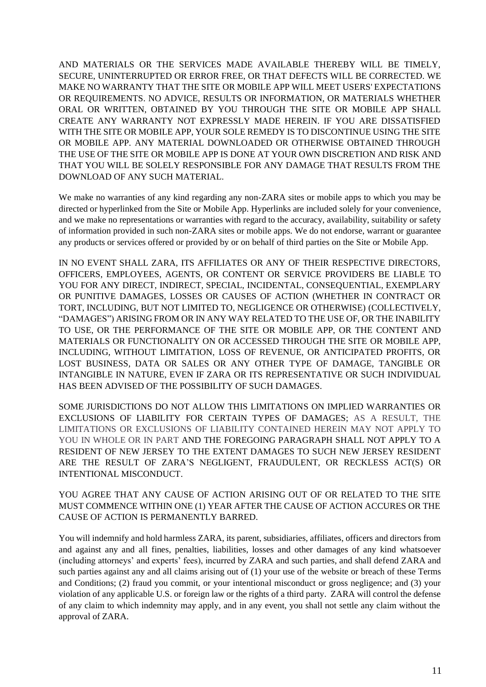AND MATERIALS OR THE SERVICES MADE AVAILABLE THEREBY WILL BE TIMELY, SECURE, UNINTERRUPTED OR ERROR FREE, OR THAT DEFECTS WILL BE CORRECTED. WE MAKE NO WARRANTY THAT THE SITE OR MOBILE APP WILL MEET USERS' EXPECTATIONS OR REQUIREMENTS. NO ADVICE, RESULTS OR INFORMATION, OR MATERIALS WHETHER ORAL OR WRITTEN, OBTAINED BY YOU THROUGH THE SITE OR MOBILE APP SHALL CREATE ANY WARRANTY NOT EXPRESSLY MADE HEREIN. IF YOU ARE DISSATISFIED WITH THE SITE OR MOBILE APP, YOUR SOLE REMEDY IS TO DISCONTINUE USING THE SITE OR MOBILE APP. ANY MATERIAL DOWNLOADED OR OTHERWISE OBTAINED THROUGH THE USE OF THE SITE OR MOBILE APP IS DONE AT YOUR OWN DISCRETION AND RISK AND THAT YOU WILL BE SOLELY RESPONSIBLE FOR ANY DAMAGE THAT RESULTS FROM THE DOWNLOAD OF ANY SUCH MATERIAL.

We make no warranties of any kind regarding any non-ZARA sites or mobile apps to which you may be directed or hyperlinked from the Site or Mobile App. Hyperlinks are included solely for your convenience, and we make no representations or warranties with regard to the accuracy, availability, suitability or safety of information provided in such non-ZARA sites or mobile apps. We do not endorse, warrant or guarantee any products or services offered or provided by or on behalf of third parties on the Site or Mobile App.

IN NO EVENT SHALL ZARA, ITS AFFILIATES OR ANY OF THEIR RESPECTIVE DIRECTORS, OFFICERS, EMPLOYEES, AGENTS, OR CONTENT OR SERVICE PROVIDERS BE LIABLE TO YOU FOR ANY DIRECT, INDIRECT, SPECIAL, INCIDENTAL, CONSEQUENTIAL, EXEMPLARY OR PUNITIVE DAMAGES, LOSSES OR CAUSES OF ACTION (WHETHER IN CONTRACT OR TORT, INCLUDING, BUT NOT LIMITED TO, NEGLIGENCE OR OTHERWISE) (COLLECTIVELY, "DAMAGES") ARISING FROM OR IN ANY WAY RELATED TO THE USE OF, OR THE INABILITY TO USE, OR THE PERFORMANCE OF THE SITE OR MOBILE APP, OR THE CONTENT AND MATERIALS OR FUNCTIONALITY ON OR ACCESSED THROUGH THE SITE OR MOBILE APP, INCLUDING, WITHOUT LIMITATION, LOSS OF REVENUE, OR ANTICIPATED PROFITS, OR LOST BUSINESS, DATA OR SALES OR ANY OTHER TYPE OF DAMAGE, TANGIBLE OR INTANGIBLE IN NATURE, EVEN IF ZARA OR ITS REPRESENTATIVE OR SUCH INDIVIDUAL HAS BEEN ADVISED OF THE POSSIBILITY OF SUCH DAMAGES.

SOME JURISDICTIONS DO NOT ALLOW THIS LIMITATIONS ON IMPLIED WARRANTIES OR EXCLUSIONS OF LIABILITY FOR CERTAIN TYPES OF DAMAGES; AS A RESULT, THE LIMITATIONS OR EXCLUSIONS OF LIABILITY CONTAINED HEREIN MAY NOT APPLY TO YOU IN WHOLE OR IN PART AND THE FOREGOING PARAGRAPH SHALL NOT APPLY TO A RESIDENT OF NEW JERSEY TO THE EXTENT DAMAGES TO SUCH NEW JERSEY RESIDENT ARE THE RESULT OF ZARA'S NEGLIGENT, FRAUDULENT, OR RECKLESS ACT(S) OR INTENTIONAL MISCONDUCT.

YOU AGREE THAT ANY CAUSE OF ACTION ARISING OUT OF OR RELATED TO THE SITE MUST COMMENCE WITHIN ONE (1) YEAR AFTER THE CAUSE OF ACTION ACCURES OR THE CAUSE OF ACTION IS PERMANENTLY BARRED.

You will indemnify and hold harmless ZARA, its parent, subsidiaries, affiliates, officers and directors from and against any and all fines, penalties, liabilities, losses and other damages of any kind whatsoever (including attorneys' and experts' fees), incurred by ZARA and such parties, and shall defend ZARA and such parties against any and all claims arising out of (1) your use of the website or breach of these Terms and Conditions; (2) fraud you commit, or your intentional misconduct or gross negligence; and (3) your violation of any applicable U.S. or foreign law or the rights of a third party. ZARA will control the defense of any claim to which indemnity may apply, and in any event, you shall not settle any claim without the approval of ZARA.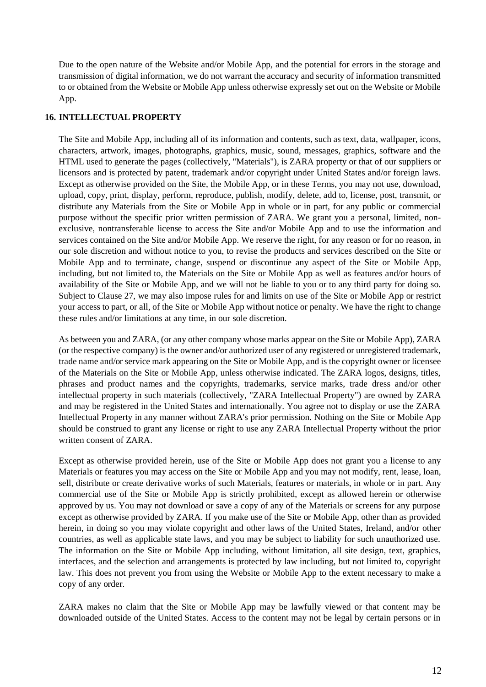Due to the open nature of the Website and/or Mobile App, and the potential for errors in the storage and transmission of digital information, we do not warrant the accuracy and security of information transmitted to or obtained from the Website or Mobile App unless otherwise expressly set out on the Website or Mobile App.

#### **16. INTELLECTUAL PROPERTY**

The Site and Mobile App, including all of its information and contents, such as text, data, wallpaper, icons, characters, artwork, images, photographs, graphics, music, sound, messages, graphics, software and the HTML used to generate the pages (collectively, "Materials"), is ZARA property or that of our suppliers or licensors and is protected by patent, trademark and/or copyright under United States and/or foreign laws. Except as otherwise provided on the Site, the Mobile App, or in these Terms, you may not use, download, upload, copy, print, display, perform, reproduce, publish, modify, delete, add to, license, post, transmit, or distribute any Materials from the Site or Mobile App in whole or in part, for any public or commercial purpose without the specific prior written permission of ZARA. We grant you a personal, limited, nonexclusive, nontransferable license to access the Site and/or Mobile App and to use the information and services contained on the Site and/or Mobile App. We reserve the right, for any reason or for no reason, in our sole discretion and without notice to you, to revise the products and services described on the Site or Mobile App and to terminate, change, suspend or discontinue any aspect of the Site or Mobile App, including, but not limited to, the Materials on the Site or Mobile App as well as features and/or hours of availability of the Site or Mobile App, and we will not be liable to you or to any third party for doing so. Subject to Clause 27, we may also impose rules for and limits on use of the Site or Mobile App or restrict your access to part, or all, of the Site or Mobile App without notice or penalty. We have the right to change these rules and/or limitations at any time, in our sole discretion.

As between you and ZARA, (or any other company whose marks appear on the Site or Mobile App), ZARA (or the respective company) is the owner and/or authorized user of any registered or unregistered trademark, trade name and/or service mark appearing on the Site or Mobile App, and is the copyright owner or licensee of the Materials on the Site or Mobile App, unless otherwise indicated. The ZARA logos, designs, titles, phrases and product names and the copyrights, trademarks, service marks, trade dress and/or other intellectual property in such materials (collectively, "ZARA Intellectual Property") are owned by ZARA and may be registered in the United States and internationally. You agree not to display or use the ZARA Intellectual Property in any manner without ZARA's prior permission. Nothing on the Site or Mobile App should be construed to grant any license or right to use any ZARA Intellectual Property without the prior written consent of ZARA.

Except as otherwise provided herein, use of the Site or Mobile App does not grant you a license to any Materials or features you may access on the Site or Mobile App and you may not modify, rent, lease, loan, sell, distribute or create derivative works of such Materials, features or materials, in whole or in part. Any commercial use of the Site or Mobile App is strictly prohibited, except as allowed herein or otherwise approved by us. You may not download or save a copy of any of the Materials or screens for any purpose except as otherwise provided by ZARA. If you make use of the Site or Mobile App, other than as provided herein, in doing so you may violate copyright and other laws of the United States, Ireland, and/or other countries, as well as applicable state laws, and you may be subject to liability for such unauthorized use. The information on the Site or Mobile App including, without limitation, all site design, text, graphics, interfaces, and the selection and arrangements is protected by law including, but not limited to, copyright law. This does not prevent you from using the Website or Mobile App to the extent necessary to make a copy of any order.

ZARA makes no claim that the Site or Mobile App may be lawfully viewed or that content may be downloaded outside of the United States. Access to the content may not be legal by certain persons or in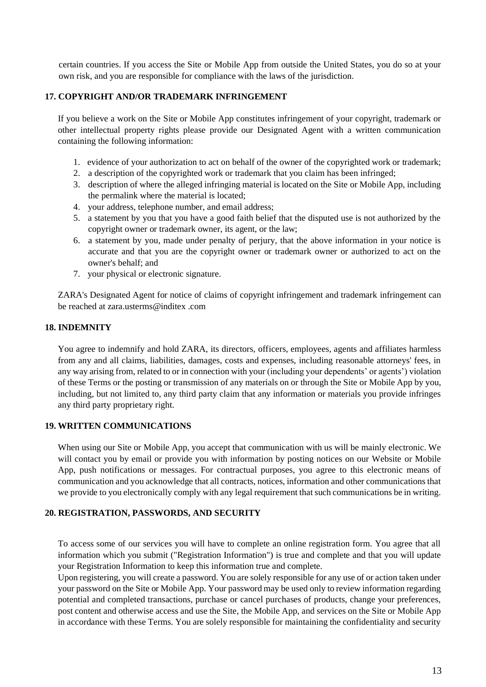certain countries. If you access the Site or Mobile App from outside the United States, you do so at your own risk, and you are responsible for compliance with the laws of the jurisdiction.

## **17. COPYRIGHT AND/OR TRADEMARK INFRINGEMENT**

If you believe a work on the Site or Mobile App constitutes infringement of your copyright, trademark or other intellectual property rights please provide our Designated Agent with a written communication containing the following information:

- 1. evidence of your authorization to act on behalf of the owner of the copyrighted work or trademark;
- 2. a description of the copyrighted work or trademark that you claim has been infringed;
- 3. description of where the alleged infringing material is located on the Site or Mobile App, including the permalink where the material is located;
- 4. your address, telephone number, and email address;
- 5. a statement by you that you have a good faith belief that the disputed use is not authorized by the copyright owner or trademark owner, its agent, or the law;
- 6. a statement by you, made under penalty of perjury, that the above information in your notice is accurate and that you are the copyright owner or trademark owner or authorized to act on the owner's behalf; and
- 7. your physical or electronic signature.

ZARA's Designated Agent for notice of claims of copyright infringement and trademark infringement can be reached at [zara.usterms@inditex .com](mailto:zara.usterms@inditex.com)

## **18. INDEMNITY**

You agree to indemnify and hold ZARA, its directors, officers, employees, agents and affiliates harmless from any and all claims, liabilities, damages, costs and expenses, including reasonable attorneys' fees, in any way arising from, related to or in connection with your (including your dependents' or agents') violation of these Terms or the posting or transmission of any materials on or through the Site or Mobile App by you, including, but not limited to, any third party claim that any information or materials you provide infringes any third party proprietary right.

#### **19. WRITTEN COMMUNICATIONS**

When using our Site or Mobile App, you accept that communication with us will be mainly electronic. We will contact you by email or provide you with information by posting notices on our Website or Mobile App, push notifications or messages. For contractual purposes, you agree to this electronic means of communication and you acknowledge that all contracts, notices, information and other communications that we provide to you electronically comply with any legal requirement that such communications be in writing.

#### **20. REGISTRATION, PASSWORDS, AND SECURITY**

To access some of our services you will have to complete an online registration form. You agree that all information which you submit ("Registration Information") is true and complete and that you will update your Registration Information to keep this information true and complete.

Upon registering, you will create a password. You are solely responsible for any use of or action taken under your password on the Site or Mobile App. Your password may be used only to review information regarding potential and completed transactions, purchase or cancel purchases of products, change your preferences, post content and otherwise access and use the Site, the Mobile App, and services on the Site or Mobile App in accordance with these Terms. You are solely responsible for maintaining the confidentiality and security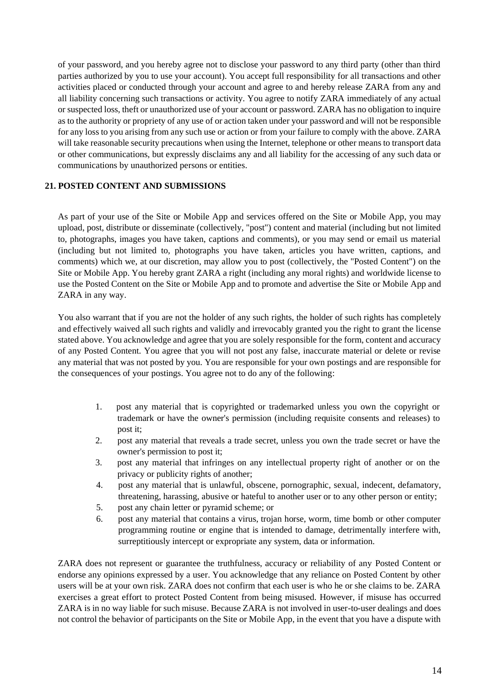of your password, and you hereby agree not to disclose your password to any third party (other than third parties authorized by you to use your account). You accept full responsibility for all transactions and other activities placed or conducted through your account and agree to and hereby release ZARA from any and all liability concerning such transactions or activity. You agree to notify ZARA immediately of any actual or suspected loss, theft or unauthorized use of your account or password. ZARA has no obligation to inquire as to the authority or propriety of any use of or action taken under your password and will not be responsible for any loss to you arising from any such use or action or from your failure to comply with the above. ZARA will take reasonable security precautions when using the Internet, telephone or other means to transport data or other communications, but expressly disclaims any and all liability for the accessing of any such data or communications by unauthorized persons or entities.

# **21. POSTED CONTENT AND SUBMISSIONS**

As part of your use of the Site or Mobile App and services offered on the Site or Mobile App, you may upload, post, distribute or disseminate (collectively, "post") content and material (including but not limited to, photographs, images you have taken, captions and comments), or you may send or email us material (including but not limited to, photographs you have taken, articles you have written, captions, and comments) which we, at our discretion, may allow you to post (collectively, the "Posted Content") on the Site or Mobile App. You hereby grant ZARA a right (including any moral rights) and worldwide license to use the Posted Content on the Site or Mobile App and to promote and advertise the Site or Mobile App and ZARA in any way.

You also warrant that if you are not the holder of any such rights, the holder of such rights has completely and effectively waived all such rights and validly and irrevocably granted you the right to grant the license stated above. You acknowledge and agree that you are solely responsible for the form, content and accuracy of any Posted Content. You agree that you will not post any false, inaccurate material or delete or revise any material that was not posted by you. You are responsible for your own postings and are responsible for the consequences of your postings. You agree not to do any of the following:

- 1. post any material that is copyrighted or trademarked unless you own the copyright or trademark or have the owner's permission (including requisite consents and releases) to post it;
- 2. post any material that reveals a trade secret, unless you own the trade secret or have the owner's permission to post it;
- 3. post any material that infringes on any intellectual property right of another or on the privacy or publicity rights of another;
- 4. post any material that is unlawful, obscene, pornographic, sexual, indecent, defamatory, threatening, harassing, abusive or hateful to another user or to any other person or entity;
- 5. post any chain letter or pyramid scheme; or
- 6. post any material that contains a virus, trojan horse, worm, time bomb or other computer programming routine or engine that is intended to damage, detrimentally interfere with, surreptitiously intercept or expropriate any system, data or information.

ZARA does not represent or guarantee the truthfulness, accuracy or reliability of any Posted Content or endorse any opinions expressed by a user. You acknowledge that any reliance on Posted Content by other users will be at your own risk. ZARA does not confirm that each user is who he or she claims to be. ZARA exercises a great effort to protect Posted Content from being misused. However, if misuse has occurred ZARA is in no way liable for such misuse. Because ZARA is not involved in user-to-user dealings and does not control the behavior of participants on the Site or Mobile App, in the event that you have a dispute with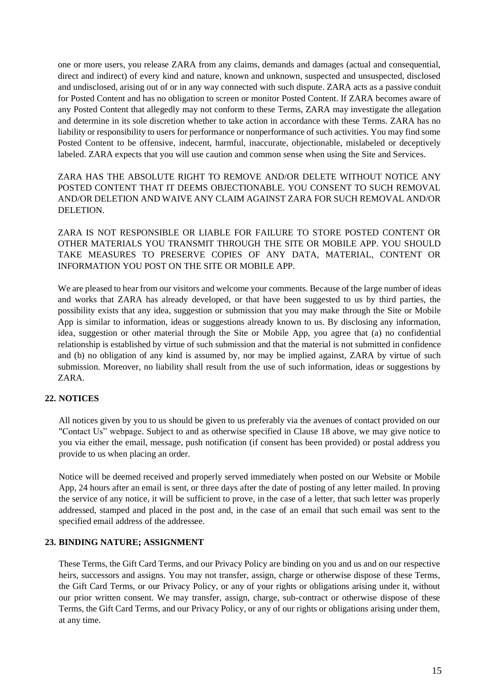one or more users, you release ZARA from any claims, demands and damages (actual and consequential, direct and indirect) of every kind and nature, known and unknown, suspected and unsuspected, disclosed and undisclosed, arising out of or in any way connected with such dispute. ZARA acts as a passive conduit for Posted Content and has no obligation to screen or monitor Posted Content. If ZARA becomes aware of any Posted Content that allegedly may not conform to these Terms, ZARA may investigate the allegation and determine in its sole discretion whether to take action in accordance with these Terms. ZARA has no liability or responsibility to users for performance or nonperformance of such activities. You may find some Posted Content to be offensive, indecent, harmful, inaccurate, objectionable, mislabeled or deceptively labeled. ZARA expects that you will use caution and common sense when using the Site and Services.

ZARA HAS THE ABSOLUTE RIGHT TO REMOVE AND/OR DELETE WITHOUT NOTICE ANY POSTED CONTENT THAT IT DEEMS OBJECTIONABLE. YOU CONSENT TO SUCH REMOVAL AND/OR DELETION AND WAIVE ANY CLAIM AGAINST ZARA FOR SUCH REMOVAL AND/OR DELETION.

ZARA IS NOT RESPONSIBLE OR LIABLE FOR FAILURE TO STORE POSTED CONTENT OR OTHER MATERIALS YOU TRANSMIT THROUGH THE SITE OR MOBILE APP. YOU SHOULD TAKE MEASURES TO PRESERVE COPIES OF ANY DATA, MATERIAL, CONTENT OR INFORMATION YOU POST ON THE SITE OR MOBILE APP.

We are pleased to hear from our visitors and welcome your comments. Because of the large number of ideas and works that ZARA has already developed, or that have been suggested to us by third parties, the possibility exists that any idea, suggestion or submission that you may make through the Site or Mobile App is similar to information, ideas or suggestions already known to us. By disclosing any information, idea, suggestion or other material through the Site or Mobile App, you agree that (a) no confidential relationship is established by virtue of such submission and that the material is not submitted in confidence and (b) no obligation of any kind is assumed by, nor may be implied against, ZARA by virtue of such submission. Moreover, no liability shall result from the use of such information, ideas or suggestions by ZARA.

# **22. NOTICES**

All notices given by you to us should be given to us preferably via the avenues of contact provided on our "Contact Us" webpage. Subject to and as otherwise specified in Clause 18 above, we may give notice to you via either the email, message, push notification (if consent has been provided) or postal address you provide to us when placing an order.

Notice will be deemed received and properly served immediately when posted on our Website or Mobile App, 24 hours after an email is sent, or three days after the date of posting of any letter mailed. In proving the service of any notice, it will be sufficient to prove, in the case of a letter, that such letter was properly addressed, stamped and placed in the post and, in the case of an email that such email was sent to the specified email address of the addressee.

# **23. BINDING NATURE; ASSIGNMENT**

These Terms, the Gift Card Terms, and our Privacy Policy are binding on you and us and on our respective heirs, successors and assigns. You may not transfer, assign, charge or otherwise dispose of these Terms, the Gift Card Terms, or our Privacy Policy, or any of your rights or obligations arising under it, without our prior written consent. We may transfer, assign, charge, sub-contract or otherwise dispose of these Terms, the Gift Card Terms, and our Privacy Policy, or any of our rights or obligations arising under them, at any time.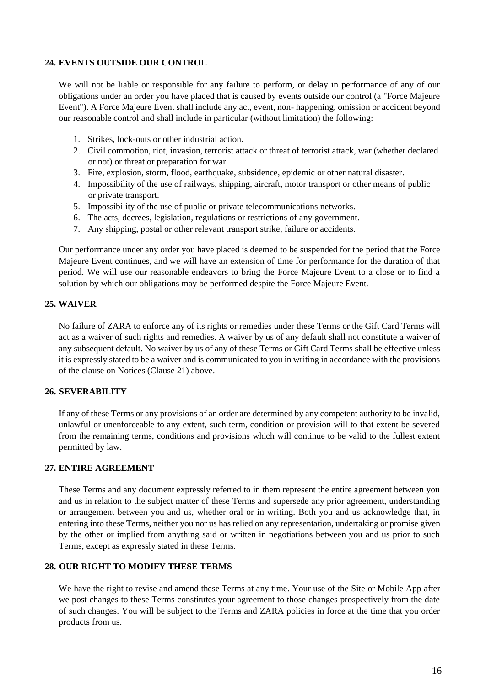## **24. EVENTS OUTSIDE OUR CONTROL**

We will not be liable or responsible for any failure to perform, or delay in performance of any of our obligations under an order you have placed that is caused by events outside our control (a "Force Majeure Event"). A Force Majeure Event shall include any act, event, non- happening, omission or accident beyond our reasonable control and shall include in particular (without limitation) the following:

- 1. Strikes, lock-outs or other industrial action.
- 2. Civil commotion, riot, invasion, terrorist attack or threat of terrorist attack, war (whether declared or not) or threat or preparation for war.
- 3. Fire, explosion, storm, flood, earthquake, subsidence, epidemic or other natural disaster.
- 4. Impossibility of the use of railways, shipping, aircraft, motor transport or other means of public or private transport.
- 5. Impossibility of the use of public or private telecommunications networks.
- 6. The acts, decrees, legislation, regulations or restrictions of any government.
- 7. Any shipping, postal or other relevant transport strike, failure or accidents.

Our performance under any order you have placed is deemed to be suspended for the period that the Force Majeure Event continues, and we will have an extension of time for performance for the duration of that period. We will use our reasonable endeavors to bring the Force Majeure Event to a close or to find a solution by which our obligations may be performed despite the Force Majeure Event.

## **25. WAIVER**

No failure of ZARA to enforce any of its rights or remedies under these Terms or the Gift Card Terms will act as a waiver of such rights and remedies. A waiver by us of any default shall not constitute a waiver of any subsequent default. No waiver by us of any of these Terms or Gift Card Terms shall be effective unless it is expressly stated to be a waiver and is communicated to you in writing in accordance with the provisions of the clause on Notices (Clause 21) above.

# **26. SEVERABILITY**

If any of these Terms or any provisions of an order are determined by any competent authority to be invalid, unlawful or unenforceable to any extent, such term, condition or provision will to that extent be severed from the remaining terms, conditions and provisions which will continue to be valid to the fullest extent permitted by law.

# **27. ENTIRE AGREEMENT**

These Terms and any document expressly referred to in them represent the entire agreement between you and us in relation to the subject matter of these Terms and supersede any prior agreement, understanding or arrangement between you and us, whether oral or in writing. Both you and us acknowledge that, in entering into these Terms, neither you nor us has relied on any representation, undertaking or promise given by the other or implied from anything said or written in negotiations between you and us prior to such Terms, except as expressly stated in these Terms.

# **28. OUR RIGHT TO MODIFY THESE TERMS**

We have the right to revise and amend these Terms at any time. Your use of the Site or Mobile App after we post changes to these Terms constitutes your agreement to those changes prospectively from the date of such changes. You will be subject to the Terms and ZARA policies in force at the time that you order products from us.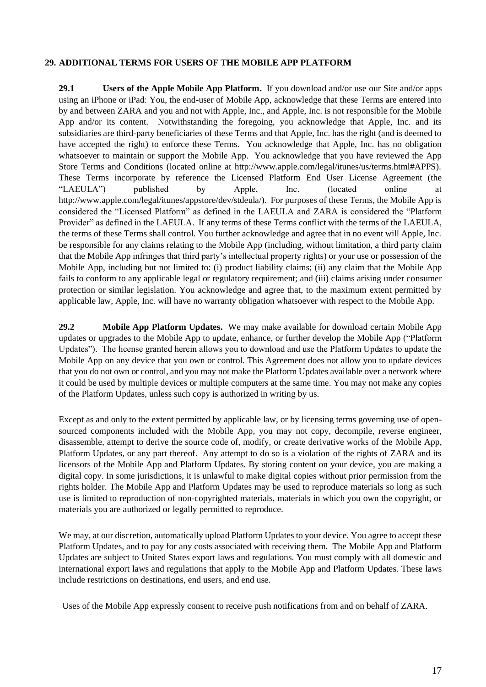# **29. ADDITIONAL TERMS FOR USERS OF THE MOBILE APP PLATFORM**

**29.1 Users of the Apple Mobile App Platform.** If you download and/or use our Site and/or apps using an iPhone or iPad: You, the end-user of Mobile App, acknowledge that these Terms are entered into by and between ZARA and you and not with Apple, Inc., and Apple, Inc. is not responsible for the Mobile App and/or its content. Notwithstanding the foregoing, you acknowledge that Apple, Inc. and its subsidiaries are third-party beneficiaries of these Terms and that Apple, Inc. has the right (and is deemed to have accepted the right) to enforce these Terms. You acknowledge that Apple, Inc. has no obligation whatsoever to maintain or support the Mobile App. You acknowledge that you have reviewed the App Store Terms and Conditions (located online at http://www.apple.com/legal/itunes/us/terms.html#APPS). These Terms incorporate by reference the Licensed Platform End User License Agreement (the "LAEULA") published by Apple, Inc. (located online at http://www.apple.com/legal/itunes/appstore/dev/stdeula/). For purposes of these Terms, the Mobile App is considered the "Licensed Platform" as defined in the LAEULA and ZARA is considered the "Platform Provider" as defined in the LAEULA. If any terms of these Terms conflict with the terms of the LAEULA, the terms of these Terms shall control. You further acknowledge and agree that in no event will Apple, Inc. be responsible for any claims relating to the Mobile App (including, without limitation, a third party claim that the Mobile App infringes that third party's intellectual property rights) or your use or possession of the Mobile App, including but not limited to: (i) product liability claims; (ii) any claim that the Mobile App fails to conform to any applicable legal or regulatory requirement; and (iii) claims arising under consumer protection or similar legislation. You acknowledge and agree that, to the maximum extent permitted by applicable law, Apple, Inc. will have no warranty obligation whatsoever with respect to the Mobile App.

**29.2 Mobile App Platform Updates.** We may make available for download certain Mobile App updates or upgrades to the Mobile App to update, enhance, or further develop the Mobile App ("Platform Updates"). The license granted herein allows you to download and use the Platform Updates to update the Mobile App on any device that you own or control. This Agreement does not allow you to update devices that you do not own or control, and you may not make the Platform Updates available over a network where it could be used by multiple devices or multiple computers at the same time. You may not make any copies of the Platform Updates, unless such copy is authorized in writing by us.

Except as and only to the extent permitted by applicable law, or by licensing terms governing use of opensourced components included with the Mobile App, you may not copy, decompile, reverse engineer, disassemble, attempt to derive the source code of, modify, or create derivative works of the Mobile App, Platform Updates, or any part thereof. Any attempt to do so is a violation of the rights of ZARA and its licensors of the Mobile App and Platform Updates. By storing content on your device, you are making a digital copy. In some jurisdictions, it is unlawful to make digital copies without prior permission from the rights holder. The Mobile App and Platform Updates may be used to reproduce materials so long as such use is limited to reproduction of non-copyrighted materials, materials in which you own the copyright, or materials you are authorized or legally permitted to reproduce.

We may, at our discretion, automatically upload Platform Updates to your device. You agree to accept these Platform Updates, and to pay for any costs associated with receiving them. The Mobile App and Platform Updates are subject to United States export laws and regulations. You must comply with all domestic and international export laws and regulations that apply to the Mobile App and Platform Updates. These laws include restrictions on destinations, end users, and end use.

Uses of the Mobile App expressly consent to receive push notifications from and on behalf of ZARA.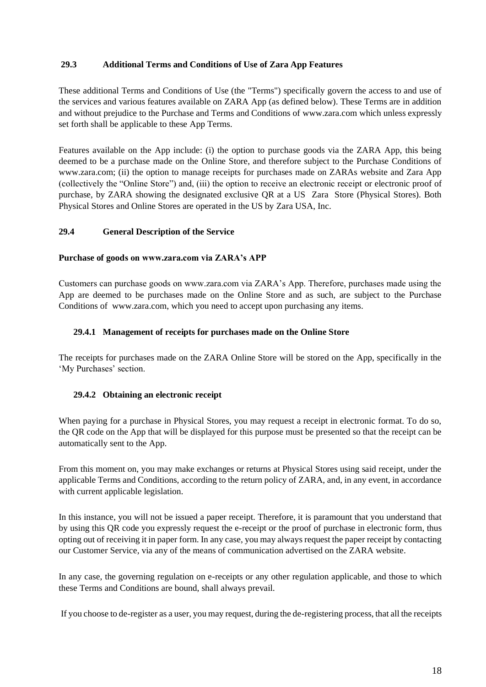# **29.3 Additional Terms and Conditions of Use of Zara App Features**

These additional Terms and Conditions of Use (the "Terms") specifically govern the access to and use of the services and various features available on ZARA App (as defined below). These Terms are in addition and without prejudice to the Purchase and Terms and Conditions of [www.zara.com](http://www.zara.com/) which unless expressly set forth shall be applicable to these App Terms.

Features available on the App include: (i) the option to purchase goods via the ZARA App, this being deemed to be a purchase made on the Online Store, and therefore subject to the Purchase Conditions of www.zara.com; (ii) the option to manage receipts for purchases made on ZARAs website and Zara App (collectively the "Online Store") and, (iii) the option to receive an electronic receipt or electronic proof of purchase, by ZARA showing the designated exclusive QR at a US Zara Store (Physical Stores). Both Physical Stores and Online Stores are operated in the US by Zara USA, Inc.

## **29.4 General Description of the Service**

## **Purchase of goods on www.zara.com via ZARA's APP**

Customers can purchase goods on www.zara.com via ZARA's App. Therefore, purchases made using the App are deemed to be purchases made on the Online Store and as such, are subject to the Purchase Conditions of www.zara.com, which you need to accept upon purchasing any items.

## **29.4.1 Management of receipts for purchases made on the Online Store**

The receipts for purchases made on the ZARA Online Store will be stored on the App, specifically in the 'My Purchases' section.

# **29.4.2 Obtaining an electronic receipt**

When paying for a purchase in Physical Stores, you may request a receipt in electronic format. To do so, the QR code on the App that will be displayed for this purpose must be presented so that the receipt can be automatically sent to the App.

From this moment on, you may make exchanges or returns at Physical Stores using said receipt, under the applicable Terms and Conditions, according to the return policy of ZARA, and, in any event, in accordance with current applicable legislation.

In this instance, you will not be issued a paper receipt. Therefore, it is paramount that you understand that by using this QR code you expressly request the e-receipt or the proof of purchase in electronic form, thus opting out of receiving it in paper form. In any case, you may always request the paper receipt by contacting our Customer Service, via any of the means of communication advertised on the ZARA website.

In any case, the governing regulation on e-receipts or any other regulation applicable, and those to which these Terms and Conditions are bound, shall always prevail.

If you choose to de-register as a user, you may request, during the de-registering process, that all the receipts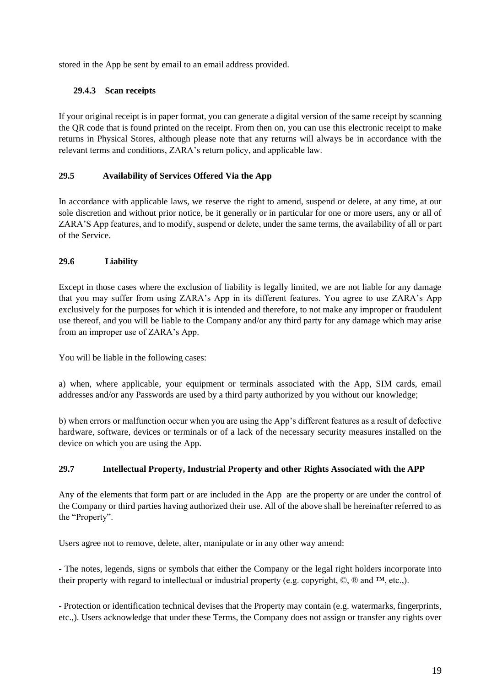stored in the App be sent by email to an email address provided.

# **29.4.3 Scan receipts**

If your original receipt is in paper format, you can generate a digital version of the same receipt by scanning the QR code that is found printed on the receipt. From then on, you can use this electronic receipt to make returns in Physical Stores, although please note that any returns will always be in accordance with the relevant terms and conditions, ZARA's return policy, and applicable law.

# **29.5 Availability of Services Offered Via the App**

In accordance with applicable laws, we reserve the right to amend, suspend or delete, at any time, at our sole discretion and without prior notice, be it generally or in particular for one or more users, any or all of ZARA'S App features, and to modify, suspend or delete, under the same terms, the availability of all or part of the Service.

# **29.6 Liability**

Except in those cases where the exclusion of liability is legally limited, we are not liable for any damage that you may suffer from using ZARA's App in its different features. You agree to use ZARA's App exclusively for the purposes for which it is intended and therefore, to not make any improper or fraudulent use thereof, and you will be liable to the Company and/or any third party for any damage which may arise from an improper use of ZARA's App.

You will be liable in the following cases:

a) when, where applicable, your equipment or terminals associated with the App, SIM cards, email addresses and/or any Passwords are used by a third party authorized by you without our knowledge;

b) when errors or malfunction occur when you are using the App's different features as a result of defective hardware, software, devices or terminals or of a lack of the necessary security measures installed on the device on which you are using the App.

# **29.7 Intellectual Property, Industrial Property and other Rights Associated with the APP**

Any of the elements that form part or are included in the App are the property or are under the control of the Company or third parties having authorized their use. All of the above shall be hereinafter referred to as the "Property".

Users agree not to remove, delete, alter, manipulate or in any other way amend:

- The notes, legends, signs or symbols that either the Company or the legal right holders incorporate into their property with regard to intellectual or industrial property (e.g. copyright,  $\mathbb{Q}, \mathbb{R}$  and  $\mathbb{M},$  etc.,).

- Protection or identification technical devises that the Property may contain (e.g. watermarks, fingerprints, etc.,). Users acknowledge that under these Terms, the Company does not assign or transfer any rights over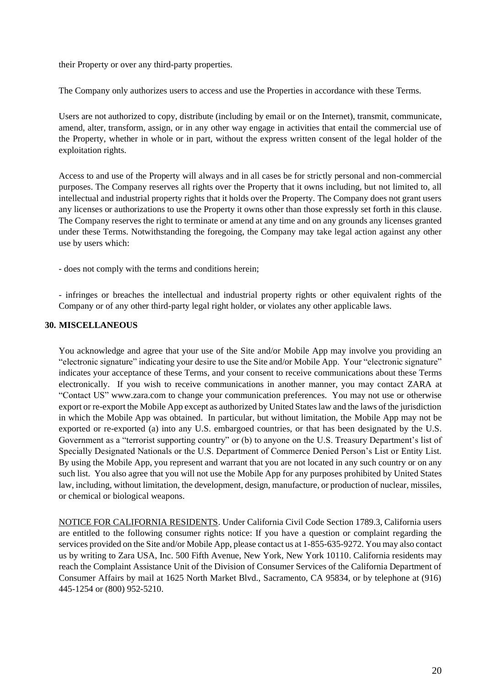their Property or over any third-party properties.

The Company only authorizes users to access and use the Properties in accordance with these Terms.

Users are not authorized to copy, distribute (including by email or on the Internet), transmit, communicate, amend, alter, transform, assign, or in any other way engage in activities that entail the commercial use of the Property, whether in whole or in part, without the express written consent of the legal holder of the exploitation rights.

Access to and use of the Property will always and in all cases be for strictly personal and non-commercial purposes. The Company reserves all rights over the Property that it owns including, but not limited to, all intellectual and industrial property rights that it holds over the Property. The Company does not grant users any licenses or authorizations to use the Property it owns other than those expressly set forth in this clause. The Company reserves the right to terminate or amend at any time and on any grounds any licenses granted under these Terms. Notwithstanding the foregoing, the Company may take legal action against any other use by users which:

- does not comply with the terms and conditions herein;

- infringes or breaches the intellectual and industrial property rights or other equivalent rights of the Company or of any other third-party legal right holder, or violates any other applicable laws.

# **30. MISCELLANEOUS**

You acknowledge and agree that your use of the Site and/or Mobile App may involve you providing an "electronic signature" indicating your desire to use the Site and/or Mobile App. Your "electronic signature" indicates your acceptance of these Terms, and your consent to receive communications about these Terms electronically. If you wish to receive communications in another manner, you may contact ZARA at "Contact US" www.zara.com to change your communication preferences. You may not use or otherwise export or re-export the Mobile App except as authorized by United States law and the laws of the jurisdiction in which the Mobile App was obtained. In particular, but without limitation, the Mobile App may not be exported or re-exported (a) into any U.S. embargoed countries, or that has been designated by the U.S. Government as a "terrorist supporting country" or (b) to anyone on the U.S. Treasury Department's list of Specially Designated Nationals or the U.S. Department of Commerce Denied Person's List or Entity List. By using the Mobile App, you represent and warrant that you are not located in any such country or on any such list. You also agree that you will not use the Mobile App for any purposes prohibited by United States law, including, without limitation, the development, design, manufacture, or production of nuclear, missiles, or chemical or biological weapons.

NOTICE FOR CALIFORNIA RESIDENTS. Under California Civil Code Section 1789.3, California users are entitled to the following consumer rights notice: If you have a question or complaint regarding the services provided on the Site and/or Mobile App, please contact us at 1-855-635-9272. You may also contact us by writing to Zara USA, Inc. 500 Fifth Avenue, New York, New York 10110. California residents may reach the Complaint Assistance Unit of the Division of Consumer Services of the California Department of Consumer Affairs by mail at 1625 North Market Blvd., Sacramento, CA 95834, or by telephone at (916) 445-1254 or (800) 952-5210.